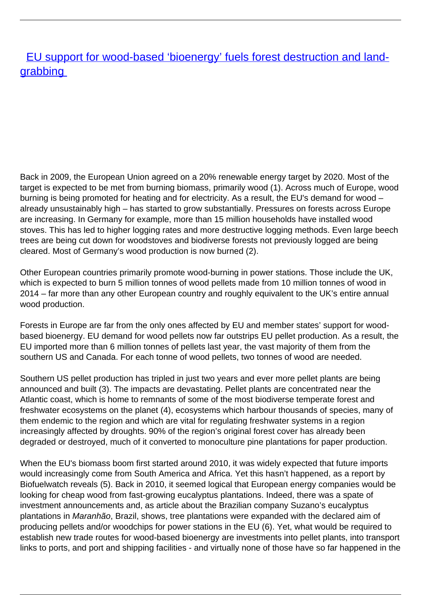[EU support for wood-based 'bioenergy' fuels forest destruction and land](/bulletin-articles/eu-support-for-wood-based-bioenergy-fuels-forest-destruction-and-land-grabbing)[grabbing](/bulletin-articles/eu-support-for-wood-based-bioenergy-fuels-forest-destruction-and-land-grabbing)

Back in 2009, the European Union agreed on a 20% renewable energy target by 2020. Most of the target is expected to be met from burning biomass, primarily wood (1). Across much of Europe, wood burning is being promoted for heating and for electricity. As a result, the EU's demand for wood – already unsustainably high – has started to grow substantially. Pressures on forests across Europe are increasing. In Germany for example, more than 15 million households have installed wood stoves. This has led to higher logging rates and more destructive logging methods. Even large beech trees are being cut down for woodstoves and biodiverse forests not previously logged are being cleared. Most of Germany's wood production is now burned (2).

Other European countries primarily promote wood-burning in power stations. Those include the UK, which is expected to burn 5 million tonnes of wood pellets made from 10 million tonnes of wood in 2014 – far more than any other European country and roughly equivalent to the UK's entire annual wood production.

Forests in Europe are far from the only ones affected by EU and member states' support for woodbased bioenergy. EU demand for wood pellets now far outstrips EU pellet production. As a result, the EU imported more than 6 million tonnes of pellets last year, the vast majority of them from the southern US and Canada. For each tonne of wood pellets, two tonnes of wood are needed.

Southern US pellet production has tripled in just two years and ever more pellet plants are being announced and built (3). The impacts are devastating. Pellet plants are concentrated near the Atlantic coast, which is home to remnants of some of the most biodiverse temperate forest and freshwater ecosystems on the planet (4), ecosystems which harbour thousands of species, many of them endemic to the region and which are vital for regulating freshwater systems in a region increasingly affected by droughts. 90% of the region's original forest cover has already been degraded or destroyed, much of it converted to monoculture pine plantations for paper production.

When the EU's biomass boom first started around 2010, it was widely expected that future imports would increasingly come from South America and Africa. Yet this hasn't happened, as a report by Biofuelwatch reveals (5). Back in 2010, it seemed logical that European energy companies would be looking for cheap wood from fast-growing eucalyptus plantations. Indeed, there was a spate of investment announcements and, as article about the Brazilian company Suzano's eucalyptus plantations in Maranhão, Brazil, shows, tree plantations were expanded with the declared aim of producing pellets and/or woodchips for power stations in the EU (6). Yet, what would be required to establish new trade routes for wood-based bioenergy are investments into pellet plants, into transport links to ports, and port and shipping facilities - and virtually none of those have so far happened in the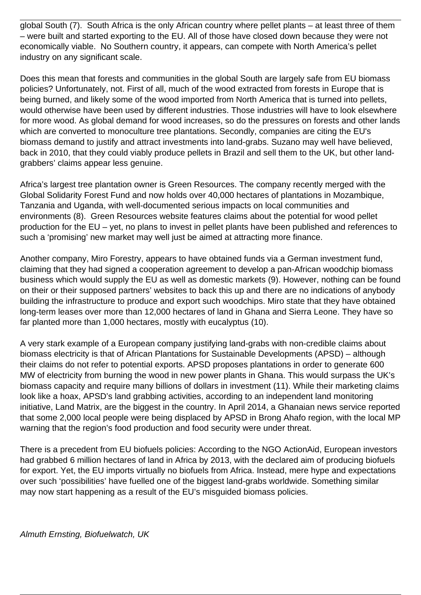global South (7). South Africa is the only African country where pellet plants – at least three of them – were built and started exporting to the EU. All of those have closed down because they were not economically viable. No Southern country, it appears, can compete with North America's pellet industry on any significant scale.

Does this mean that forests and communities in the global South are largely safe from EU biomass policies? Unfortunately, not. First of all, much of the wood extracted from forests in Europe that is being burned, and likely some of the wood imported from North America that is turned into pellets, would otherwise have been used by different industries. Those industries will have to look elsewhere for more wood. As global demand for wood increases, so do the pressures on forests and other lands which are converted to monoculture tree plantations. Secondly, companies are citing the EU's biomass demand to justify and attract investments into land-grabs. Suzano may well have believed, back in 2010, that they could viably produce pellets in Brazil and sell them to the UK, but other landgrabbers' claims appear less genuine.

Africa's largest tree plantation owner is Green Resources. The company recently merged with the Global Solidarity Forest Fund and now holds over 40,000 hectares of plantations in Mozambique, Tanzania and Uganda, with well-documented serious impacts on local communities and environments (8). Green Resources website features claims about the potential for wood pellet production for the EU – yet, no plans to invest in pellet plants have been published and references to such a 'promising' new market may well just be aimed at attracting more finance.

Another company, Miro Forestry, appears to have obtained funds via a German investment fund, claiming that they had signed a cooperation agreement to develop a pan-African woodchip biomass business which would supply the EU as well as domestic markets (9). However, nothing can be found on their or their supposed partners' websites to back this up and there are no indications of anybody building the infrastructure to produce and export such woodchips. Miro state that they have obtained long-term leases over more than 12,000 hectares of land in Ghana and Sierra Leone. They have so far planted more than 1,000 hectares, mostly with eucalyptus (10).

A very stark example of a European company justifying land-grabs with non-credible claims about biomass electricity is that of African Plantations for Sustainable Developments (APSD) – although their claims do not refer to potential exports. APSD proposes plantations in order to generate 600 MW of electricity from burning the wood in new power plants in Ghana. This would surpass the UK's biomass capacity and require many billions of dollars in investment (11). While their marketing claims look like a hoax, APSD's land grabbing activities, according to an independent land monitoring initiative, Land Matrix, are the biggest in the country. In April 2014, a Ghanaian news service reported that some 2,000 local people were being displaced by APSD in Brong Ahafo region, with the local MP warning that the region's food production and food security were under threat.

There is a precedent from EU biofuels policies: According to the NGO ActionAid, European investors had grabbed 6 million hectares of land in Africa by 2013, with the declared aim of producing biofuels for export. Yet, the EU imports virtually no biofuels from Africa. Instead, mere hype and expectations over such 'possibilities' have fuelled one of the biggest land-grabs worldwide. Something similar may now start happening as a result of the EU's misguided biomass policies.